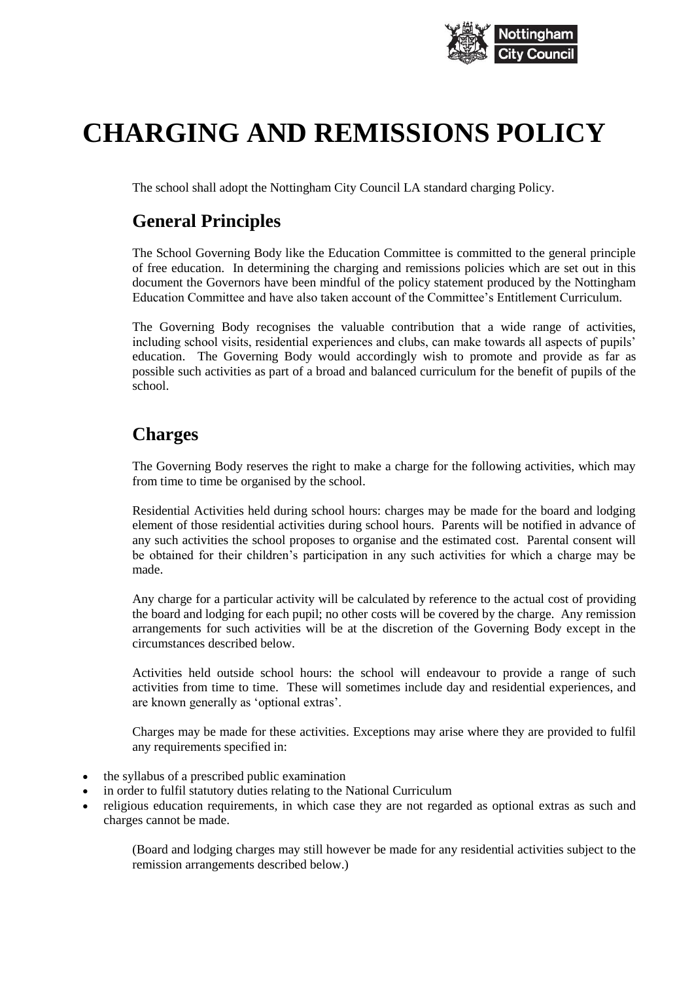

# **CHARGING AND REMISSIONS POLICY**

The school shall adopt the Nottingham City Council LA standard charging Policy.

# **General Principles**

The School Governing Body like the Education Committee is committed to the general principle of free education. In determining the charging and remissions policies which are set out in this document the Governors have been mindful of the policy statement produced by the Nottingham Education Committee and have also taken account of the Committee's Entitlement Curriculum.

The Governing Body recognises the valuable contribution that a wide range of activities, including school visits, residential experiences and clubs, can make towards all aspects of pupils' education. The Governing Body would accordingly wish to promote and provide as far as possible such activities as part of a broad and balanced curriculum for the benefit of pupils of the school.

# **Charges**

The Governing Body reserves the right to make a charge for the following activities, which may from time to time be organised by the school.

Residential Activities held during school hours: charges may be made for the board and lodging element of those residential activities during school hours. Parents will be notified in advance of any such activities the school proposes to organise and the estimated cost. Parental consent will be obtained for their children's participation in any such activities for which a charge may be made.

Any charge for a particular activity will be calculated by reference to the actual cost of providing the board and lodging for each pupil; no other costs will be covered by the charge. Any remission arrangements for such activities will be at the discretion of the Governing Body except in the circumstances described below.

Activities held outside school hours: the school will endeavour to provide a range of such activities from time to time. These will sometimes include day and residential experiences, and are known generally as 'optional extras'.

Charges may be made for these activities. Exceptions may arise where they are provided to fulfil any requirements specified in:

- the syllabus of a prescribed public examination
- in order to fulfil statutory duties relating to the National Curriculum
- religious education requirements, in which case they are not regarded as optional extras as such and charges cannot be made.

(Board and lodging charges may still however be made for any residential activities subject to the remission arrangements described below.)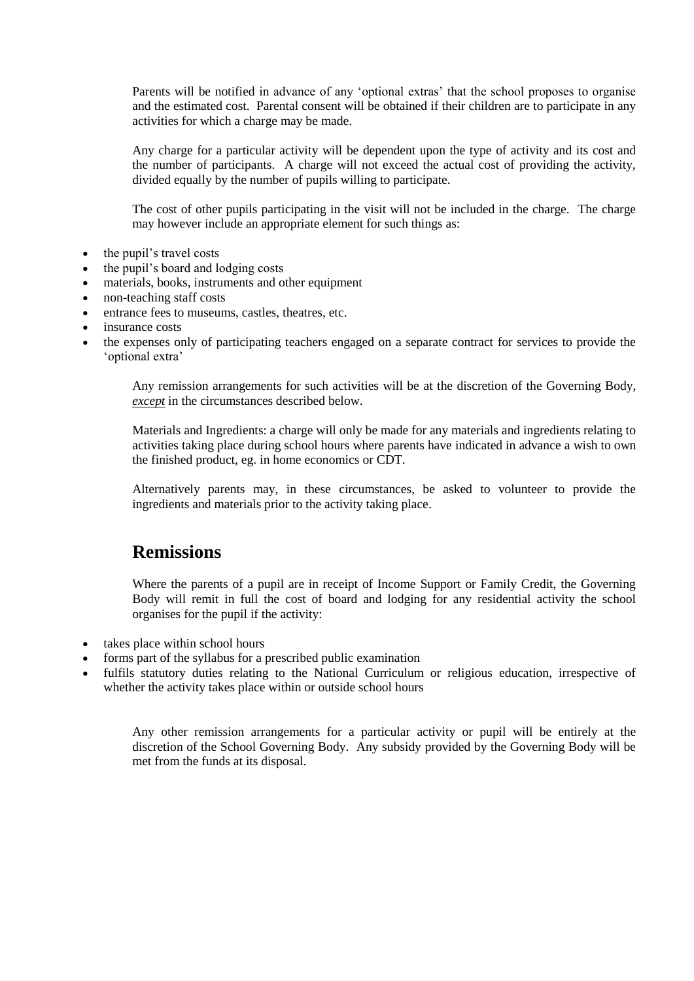Parents will be notified in advance of any 'optional extras' that the school proposes to organise and the estimated cost. Parental consent will be obtained if their children are to participate in any activities for which a charge may be made.

Any charge for a particular activity will be dependent upon the type of activity and its cost and the number of participants. A charge will not exceed the actual cost of providing the activity, divided equally by the number of pupils willing to participate.

The cost of other pupils participating in the visit will not be included in the charge. The charge may however include an appropriate element for such things as:

- the pupil's travel costs
- the pupil's board and lodging costs
- materials, books, instruments and other equipment
- non-teaching staff costs
- entrance fees to museums, castles, theatres, etc.
- insurance costs
- the expenses only of participating teachers engaged on a separate contract for services to provide the 'optional extra'

Any remission arrangements for such activities will be at the discretion of the Governing Body, *except* in the circumstances described below.

Materials and Ingredients: a charge will only be made for any materials and ingredients relating to activities taking place during school hours where parents have indicated in advance a wish to own the finished product, eg. in home economics or CDT.

Alternatively parents may, in these circumstances, be asked to volunteer to provide the ingredients and materials prior to the activity taking place.

#### **Remissions**

Where the parents of a pupil are in receipt of Income Support or Family Credit, the Governing Body will remit in full the cost of board and lodging for any residential activity the school organises for the pupil if the activity:

- takes place within school hours
- forms part of the syllabus for a prescribed public examination
- fulfils statutory duties relating to the National Curriculum or religious education, irrespective of whether the activity takes place within or outside school hours

Any other remission arrangements for a particular activity or pupil will be entirely at the discretion of the School Governing Body. Any subsidy provided by the Governing Body will be met from the funds at its disposal.